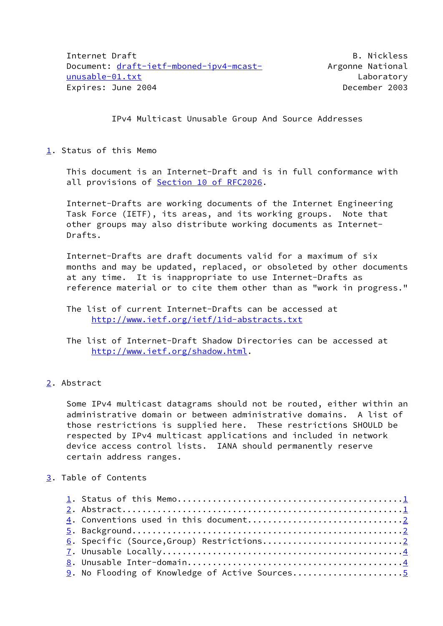IPv4 Multicast Unusable Group And Source Addresses

<span id="page-0-0"></span>[1](#page-0-0). Status of this Memo

 This document is an Internet-Draft and is in full conformance with all provisions of Section [10 of RFC2026.](https://datatracker.ietf.org/doc/pdf/rfc2026#section-10)

 Internet-Drafts are working documents of the Internet Engineering Task Force (IETF), its areas, and its working groups. Note that other groups may also distribute working documents as Internet- Drafts.

 Internet-Drafts are draft documents valid for a maximum of six months and may be updated, replaced, or obsoleted by other documents at any time. It is inappropriate to use Internet-Drafts as reference material or to cite them other than as "work in progress."

 The list of current Internet-Drafts can be accessed at <http://www.ietf.org/ietf/1id-abstracts.txt>

- The list of Internet-Draft Shadow Directories can be accessed at <http://www.ietf.org/shadow.html>.
- <span id="page-0-1"></span>[2](#page-0-1). Abstract

 Some IPv4 multicast datagrams should not be routed, either within an administrative domain or between administrative domains. A list of those restrictions is supplied here. These restrictions SHOULD be respected by IPv4 multicast applications and included in network device access control lists. IANA should permanently reserve certain address ranges.

### <span id="page-0-2"></span>[3](#page-0-2). Table of Contents

| 9. No Flooding of Knowledge of Active Sources5 |  |
|------------------------------------------------|--|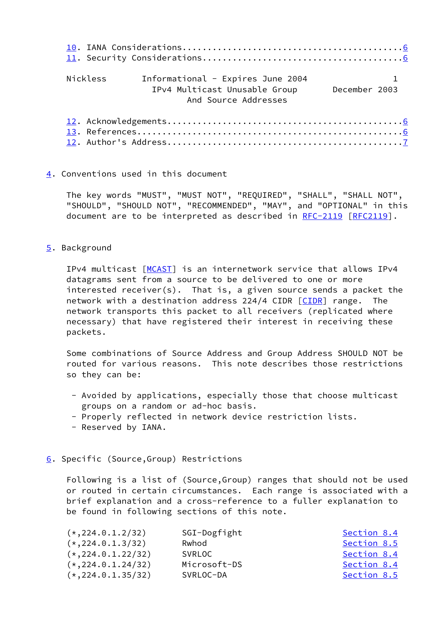| Nickless | Informational - Expires June 2004<br>IPv4 Multicast Unusable Group December 2003<br>And Source Addresses |  |
|----------|----------------------------------------------------------------------------------------------------------|--|
|          |                                                                                                          |  |

### <span id="page-1-0"></span>[4](#page-1-0). Conventions used in this document

 The key words "MUST", "MUST NOT", "REQUIRED", "SHALL", "SHALL NOT", "SHOULD", "SHOULD NOT", "RECOMMENDED", "MAY", and "OPTIONAL" in this document are to be interpreted as described in [RFC-2119](https://datatracker.ietf.org/doc/pdf/rfc2119) [\[RFC2119](https://datatracker.ietf.org/doc/pdf/rfc2119)].

### <span id="page-1-1"></span>[5](#page-1-1). Background

 IPv4 multicast [\[MCAST](#page-3-2)] is an internetwork service that allows IPv4 datagrams sent from a source to be delivered to one or more interested receiver(s). That is, a given source sends a packet the network with a destination address 224/4 CIDR [\[CIDR](#page-6-2)] range. The network transports this packet to all receivers (replicated where necessary) that have registered their interest in receiving these packets.

 Some combinations of Source Address and Group Address SHOULD NOT be routed for various reasons. This note describes those restrictions so they can be:

- Avoided by applications, especially those that choose multicast groups on a random or ad-hoc basis.
- Properly reflected in network device restriction lists.
- Reserved by IANA.

## <span id="page-1-2"></span>[6](#page-1-2). Specific (Source,Group) Restrictions

 Following is a list of (Source,Group) ranges that should not be used or routed in certain circumstances. Each range is associated with a brief explanation and a cross-reference to a fuller explanation to be found in following sections of this note.

| $(*, 224.0.1.2/32)$  | SGI-Dogfight  | Section 8.4 |
|----------------------|---------------|-------------|
| $(*, 224.0.1.3/32)$  | Rwhod         | Section 8.5 |
| $(*, 224.0.1.22/32)$ | <b>SVRLOC</b> | Section 8.4 |
| $(*, 224.0.1.24/32)$ | Microsoft-DS  | Section 8.4 |
| $(*, 224.0.1.35/32)$ | SVRLOC-DA     | Section 8.5 |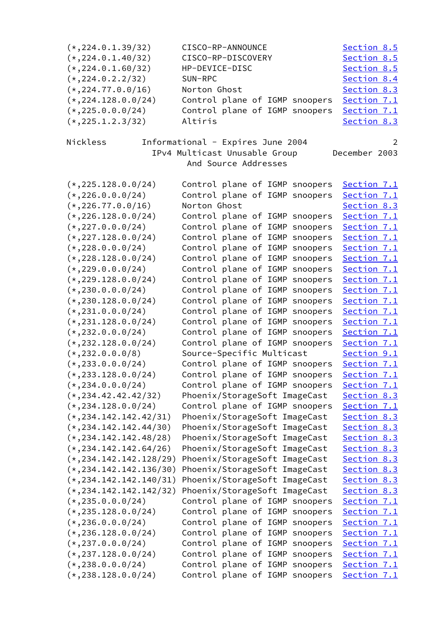| $(*, 224.0.1.39/32)$      | CISCO-RP-ANNOUNCE                 | Section 8.5        |
|---------------------------|-----------------------------------|--------------------|
| $(*, 224.0.1.40/32)$      | CISCO-RP-DISCOVERY                | Section 8.5        |
| $(*, 224.0.1.60/32)$      | HP-DEVICE-DISC                    | Section 8.5        |
| $(*, 224.0.2.2/32)$       | SUN-RPC                           | Section 8.4        |
| $(*, 224.77.0.0/16)$      | Norton Ghost                      | Section 8.3        |
| $(*, 224.128.0.0/24)$     | Control plane of IGMP snoopers    | Section 7.1        |
| $(*, 225.0.0.0/24)$       | Control plane of IGMP<br>snoopers | Section 7.1        |
| $(*, 225.1.2.3/32)$       | Altiris                           | Section 8.3        |
|                           |                                   |                    |
| Nickless                  | Informational - Expires June 2004 | 2                  |
|                           | IPv4 Multicast Unusable Group     | December 2003      |
|                           | And Source Addresses              |                    |
|                           |                                   |                    |
| $(*, 225.128.0.0/24)$     | Control plane of IGMP snoopers    | Section 7.1        |
| $(*, 226.0.0.0/24)$       | Control plane of IGMP<br>snoopers | Section 7.1        |
| $(*, 226.77.0.0/16)$      | Norton Ghost                      | Section 8.3        |
| $(*, 226.128.0.0/24)$     | Control plane of IGMP<br>snoopers | Section 7.1        |
| $(*, 227.0.0.0/24)$       | Control plane of IGMP<br>snoopers | Section 7.1        |
| $(*, 227.128.0.0/24)$     | Control plane of IGMP<br>snoopers | Section 7.1        |
| $(*, 228.0.0.0/24)$       | Control plane of IGMP<br>snoopers | Section 7.1        |
| $(*, 228.128.0.0/24)$     | Control plane of IGMP<br>snoopers | Section 7.1        |
| $(*, 229.0.0.0/24)$       | Control plane of IGMP<br>snoopers | Section 7.1        |
| $(*, 229.128.0.0/24)$     | Control plane of IGMP<br>snoopers | Section 7.1        |
| $(*, 230.0.0.0/24)$       | Control plane of IGMP<br>snoopers | Section 7.1        |
| $(*, 230.128.0.0/24)$     | Control plane of IGMP<br>snoopers | Section 7.1        |
| $(*, 231.0.0.0/24)$       | Control plane of IGMP<br>snoopers | Section 7.1        |
|                           | Control plane of IGMP<br>snoopers |                    |
| $(*, 231.128.0.0/24)$     | snoopers                          | Section 7.1        |
| $(*, 232.0.0.0/24)$       | Control plane of IGMP             | Section 7.1        |
| $(*, 232.128.0.0/24)$     | Control plane of IGMP snoopers    | Section 7.1        |
| $(*, 232.0.0.0/8)$        | Source-Specific Multicast         | Section 9.1        |
| $(*, 233.0.0.0/24)$       | Control plane of IGMP snoopers    | Section 7.1        |
| $(*, 233.128.0.0/24)$     | Control plane of IGMP snoopers    | Section 7.1        |
| $(*, 234.0.0.0/24)$       | Control plane of IGMP snoopers    | Section 7.1        |
| $(*, 234.42.42.42/32)$    | Phoenix/StorageSoft ImageCast     | Section 8.3        |
| $(*, 234.128.0.0/24)$     | Control plane of IGMP snoopers    | Section 7.1        |
| $(*, 234.142.142.42/31)$  | Phoenix/StorageSoft ImageCast     | Section 8.3        |
| $(*, 234.142.142.44/30)$  | Phoenix/StorageSoft ImageCast     | Section 8.3        |
| $(*, 234.142.142.48/28)$  | Phoenix/StorageSoft ImageCast     | Section 8.3        |
| $(*, 234.142.142.64/26)$  | Phoenix/StorageSoft ImageCast     | Section 8.3        |
| $(*, 234.142.142.128/29)$ | Phoenix/StorageSoft ImageCast     | Section 8.3        |
| $(*, 234.142.142.136/30)$ | Phoenix/StorageSoft ImageCast     | Section 8.3        |
| $(*, 234.142.142.140/31)$ | Phoenix/StorageSoft ImageCast     | <u>Section 8.3</u> |
| $(*, 234.142.142.142/32)$ | Phoenix/StorageSoft ImageCast     | Section 8.3        |
| $(*, 235.0.0.0/24)$       | Control plane of IGMP snoopers    | Section 7.1        |
| $(*, 235.128.0.0/24)$     | Control plane of IGMP<br>snoopers | Section 7.1        |
| $(*, 236.0.0.0/24)$       | Control plane of IGMP<br>snoopers | Section 7.1        |
| $(*, 236.128.0.0/24)$     | Control plane of IGMP<br>snoopers | Section 7.1        |
| $(*, 237.0.0.0/24)$       | Control plane of IGMP<br>snoopers | Section 7.1        |
| $(*, 237.128.0.0/24)$     | Control plane of IGMP<br>snoopers | Section 7.1        |
| $(*, 238.0.0.0/24)$       | Control plane of IGMP<br>snoopers | Section 7.1        |
| $(*, 238.128.0.0/24)$     | Control plane of IGMP<br>snoopers | Section 7.1        |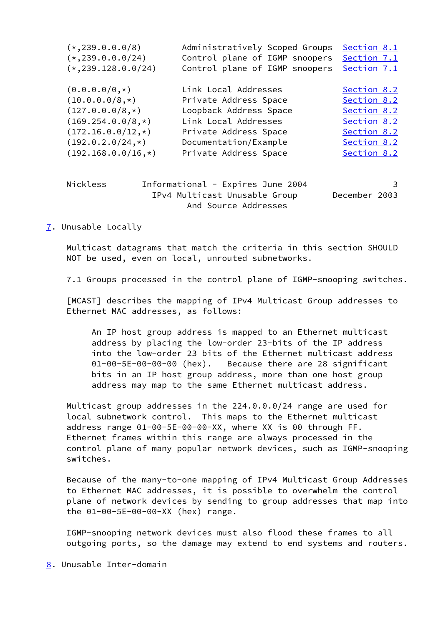| $(*, 239.0.0.0/8)$    | Administratively Scoped Groups | Section 8.1 |
|-----------------------|--------------------------------|-------------|
| $(*, 239.0.0.0/24)$   | Control plane of IGMP snoopers | Section 7.1 |
| $(*, 239.128.0.0/24)$ | Control plane of IGMP snoopers | Section 7.1 |
|                       | Link Local Addresses           | Section 8.2 |
| $(0.0.0.0/0,*)$       |                                |             |
| $(10.0.0.0/8,*)$      | Private Address Space          | Section 8.2 |
| $(127.0.0.0/8,*)$     | Loopback Address Space         | Section 8.2 |
| $(169.254.0.0/8,*)$   | Link Local Addresses           | Section 8.2 |
| $(172.16.0.0/12,*)$   | Private Address Space          | Section 8.2 |
| $(192.0.2.0/24,*)$    | Documentation/Example          | Section 8.2 |
| $(192.168.0.0/16,*)$  | Private Address Space          | Section 8.2 |
|                       |                                |             |
|                       |                                |             |
|                       |                                |             |

| Nickless | Informational - Expires June 2004 |               |
|----------|-----------------------------------|---------------|
|          | IPv4 Multicast Unusable Group     | December 2003 |
|          | And Source Addresses              |               |

<span id="page-3-0"></span>[7](#page-3-0). Unusable Locally

 Multicast datagrams that match the criteria in this section SHOULD NOT be used, even on local, unrouted subnetworks.

7.1 Groups processed in the control plane of IGMP-snooping switches.

<span id="page-3-2"></span> [MCAST] describes the mapping of IPv4 Multicast Group addresses to Ethernet MAC addresses, as follows:

 An IP host group address is mapped to an Ethernet multicast address by placing the low-order 23-bits of the IP address into the low-order 23 bits of the Ethernet multicast address 01-00-5E-00-00-00 (hex). Because there are 28 significant bits in an IP host group address, more than one host group address may map to the same Ethernet multicast address.

 Multicast group addresses in the 224.0.0.0/24 range are used for local subnetwork control. This maps to the Ethernet multicast address range 01-00-5E-00-00-XX, where XX is 00 through FF. Ethernet frames within this range are always processed in the control plane of many popular network devices, such as IGMP-snooping switches.

 Because of the many-to-one mapping of IPv4 Multicast Group Addresses to Ethernet MAC addresses, it is possible to overwhelm the control plane of network devices by sending to group addresses that map into the 01-00-5E-00-00-XX (hex) range.

 IGMP-snooping network devices must also flood these frames to all outgoing ports, so the damage may extend to end systems and routers.

<span id="page-3-1"></span>[8](#page-3-1). Unusable Inter-domain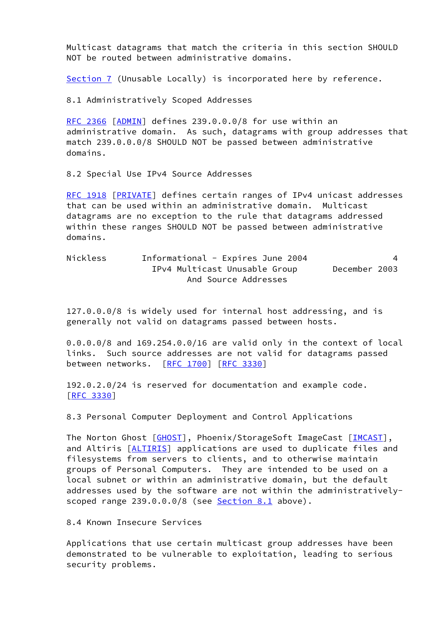Multicast datagrams that match the criteria in this section SHOULD NOT be routed between administrative domains.

[Section 7](#page-3-0) (Unusable Locally) is incorporated here by reference.

8.1 Administratively Scoped Addresses

 [RFC 2366](https://datatracker.ietf.org/doc/pdf/rfc2366) [[ADMIN\]](#page-6-3) defines 239.0.0.0/8 for use within an administrative domain. As such, datagrams with group addresses that match 239.0.0.0/8 SHOULD NOT be passed between administrative domains.

8.2 Special Use IPv4 Source Addresses

 [RFC 1918](https://datatracker.ietf.org/doc/pdf/rfc1918) [[PRIVATE](#page-6-4)] defines certain ranges of IPv4 unicast addresses that can be used within an administrative domain. Multicast datagrams are no exception to the rule that datagrams addressed within these ranges SHOULD NOT be passed between administrative domains.

 Nickless Informational - Expires June 2004 4 IPv4 Multicast Unusable Group December 2003 And Source Addresses

 127.0.0.0/8 is widely used for internal host addressing, and is generally not valid on datagrams passed between hosts.

 0.0.0.0/8 and 169.254.0.0/16 are valid only in the context of local links. Such source addresses are not valid for datagrams passed between networks. [\[RFC 1700](https://datatracker.ietf.org/doc/pdf/rfc1700)] [\[RFC 3330](https://datatracker.ietf.org/doc/pdf/rfc3330)]

 192.0.2.0/24 is reserved for documentation and example code. [\[RFC 3330](https://datatracker.ietf.org/doc/pdf/rfc3330)]

8.3 Personal Computer Deployment and Control Applications

The Norton Ghost [[GHOST\]](#page-7-0), Phoenix/StorageSoft ImageCast [\[IMCAST](#page-7-1)], and Altiris [\[ALTIRIS](#page-7-2)] applications are used to duplicate files and filesystems from servers to clients, and to otherwise maintain groups of Personal Computers. They are intended to be used on a local subnet or within an administrative domain, but the default addresses used by the software are not within the administratively scoped range 239.0.0.0/8 (see Section 8.1 above).

8.4 Known Insecure Services

 Applications that use certain multicast group addresses have been demonstrated to be vulnerable to exploitation, leading to serious security problems.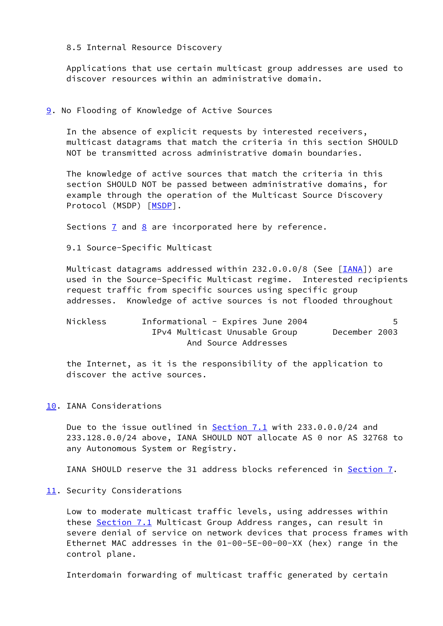8.5 Internal Resource Discovery

 Applications that use certain multicast group addresses are used to discover resources within an administrative domain.

### <span id="page-5-0"></span>[9](#page-5-0). No Flooding of Knowledge of Active Sources

 In the absence of explicit requests by interested receivers, multicast datagrams that match the criteria in this section SHOULD NOT be transmitted across administrative domain boundaries.

 The knowledge of active sources that match the criteria in this section SHOULD NOT be passed between administrative domains, for example through the operation of the Multicast Source Discovery Protocol (MSDP) [\[MSDP](#page-7-3)].

Sections  $\overline{7}$  and  $\overline{8}$  are incorporated here by reference.

9.1 Source-Specific Multicast

Multicast datagrams addressed within 232.0.0.0/8 (See [\[IANA](#page-7-4)]) are used in the Source-Specific Multicast regime. Interested recipients request traffic from specific sources using specific group addresses. Knowledge of active sources is not flooded throughout

| Nickless | Informational - Expires June 2004 |               |  |
|----------|-----------------------------------|---------------|--|
|          | IPv4 Multicast Unusable Group     | December 2003 |  |
|          | And Source Addresses              |               |  |

 the Internet, as it is the responsibility of the application to discover the active sources.

### <span id="page-5-1"></span>[10.](#page-5-1) IANA Considerations

 Due to the issue outlined in Section 7.1 with 233.0.0.0/24 and 233.128.0.0/24 above, IANA SHOULD NOT allocate AS 0 nor AS 32768 to any Autonomous System or Registry.

IANA SHOULD reserve the 31 address blocks referenced in [Section 7](#page-3-0).

#### <span id="page-5-2"></span>[11.](#page-5-2) Security Considerations

 Low to moderate multicast traffic levels, using addresses within these Section 7.1 Multicast Group Address ranges, can result in severe denial of service on network devices that process frames with Ethernet MAC addresses in the 01-00-5E-00-00-XX (hex) range in the control plane.

Interdomain forwarding of multicast traffic generated by certain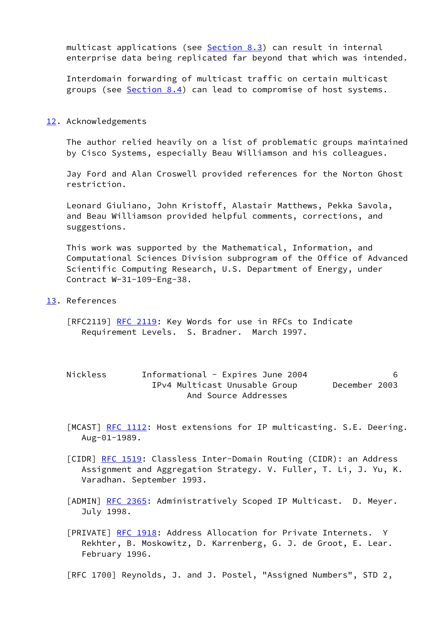multicast applications (see Section 8.3) can result in internal enterprise data being replicated far beyond that which was intended.

 Interdomain forwarding of multicast traffic on certain multicast groups (see Section 8.4) can lead to compromise of host systems.

#### <span id="page-6-0"></span>[12.](#page-6-0) Acknowledgements

 The author relied heavily on a list of problematic groups maintained by Cisco Systems, especially Beau Williamson and his colleagues.

 Jay Ford and Alan Croswell provided references for the Norton Ghost restriction.

 Leonard Giuliano, John Kristoff, Alastair Matthews, Pekka Savola, and Beau Williamson provided helpful comments, corrections, and suggestions.

 This work was supported by the Mathematical, Information, and Computational Sciences Division subprogram of the Office of Advanced Scientific Computing Research, U.S. Department of Energy, under Contract W-31-109-Eng-38.

<span id="page-6-1"></span>[13.](#page-6-1) References

[RFC2119] [RFC 2119:](https://datatracker.ietf.org/doc/pdf/rfc2119) Key Words for use in RFCs to Indicate Requirement Levels. S. Bradner. March 1997.

| Nickless | Informational - Expires June 2004 |               |  |
|----------|-----------------------------------|---------------|--|
|          | IPv4 Multicast Unusable Group     | December 2003 |  |
|          | And Source Addresses              |               |  |

[MCAST] [RFC 1112](https://datatracker.ietf.org/doc/pdf/rfc1112): Host extensions for IP multicasting. S.E. Deering. Aug-01-1989.

<span id="page-6-2"></span>[CIDR] <u>RFC 1519</u>: Classless Inter-Domain Routing (CIDR): an Address Assignment and Aggregation Strategy. V. Fuller, T. Li, J. Yu, K. Varadhan. September 1993.

<span id="page-6-3"></span>[ADMIN] [RFC 2365](https://datatracker.ietf.org/doc/pdf/rfc2365): Administratively Scoped IP Multicast. D. Meyer. July 1998.

<span id="page-6-4"></span>[PRIVATE] [RFC 1918:](https://datatracker.ietf.org/doc/pdf/rfc1918) Address Allocation for Private Internets. Y Rekhter, B. Moskowitz, D. Karrenberg, G. J. de Groot, E. Lear. February 1996.

[RFC 1700] Reynolds, J. and J. Postel, "Assigned Numbers", STD 2,